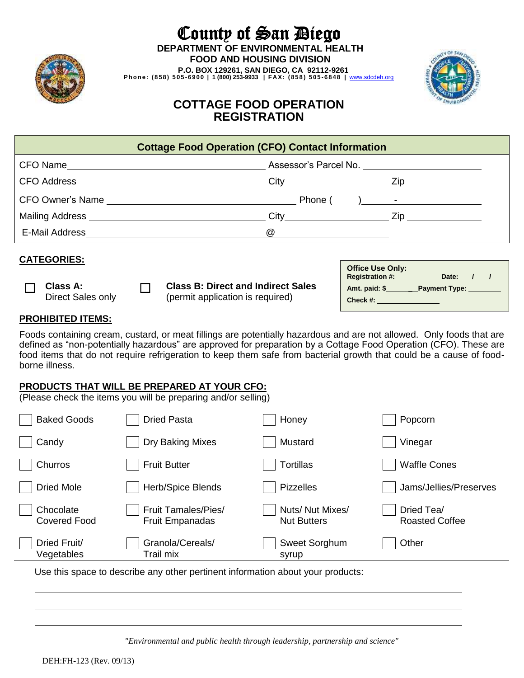

# County of San Diego **DEPARTMENT OF ENVIRONMENTAL HEALTH FOOD AND HOUSING DIVISION**

 **P.O. BOX 129261, SAN DIEGO, CA 92112-9261 P h o n e: ( 8 58 ) 5 0 5 - 69 0 0 | 1 (800) 253-9933 | F A X : ( 85 8 ) 5 0 5 - 6 8 48 |** [www.sdcdeh.org](http://www.sdcdeh.org/)



## **COTTAGE FOOD OPERATION REGISTRATION**

| <b>Cottage Food Operation (CFO) Contact Information</b>                                                                                          |                                            |                                                                               |  |  |                                                                                                                   |  |  |  |
|--------------------------------------------------------------------------------------------------------------------------------------------------|--------------------------------------------|-------------------------------------------------------------------------------|--|--|-------------------------------------------------------------------------------------------------------------------|--|--|--|
|                                                                                                                                                  |                                            |                                                                               |  |  |                                                                                                                   |  |  |  |
|                                                                                                                                                  |                                            |                                                                               |  |  |                                                                                                                   |  |  |  |
|                                                                                                                                                  |                                            |                                                                               |  |  |                                                                                                                   |  |  |  |
|                                                                                                                                                  |                                            |                                                                               |  |  |                                                                                                                   |  |  |  |
|                                                                                                                                                  |                                            |                                                                               |  |  |                                                                                                                   |  |  |  |
|                                                                                                                                                  |                                            |                                                                               |  |  |                                                                                                                   |  |  |  |
| <b>CATEGORIES:</b><br>Class A:<br>Direct Sales only                                                                                              | <b>Contract Contract Contract Contract</b> | <b>Class B: Direct and Indirect Sales</b><br>(permit application is required) |  |  | Office Use Only:<br>Registration #: ___________ Date: ___/___/__<br>Amt. paid: \$_________Payment Type: _________ |  |  |  |
| <b>PROHIBITED ITEMS:</b><br>Foods containing cream, custard, or meat fillings are potentially hazardous and are not allowed. Only foods that are |                                            |                                                                               |  |  |                                                                                                                   |  |  |  |
|                                                                                                                                                  |                                            |                                                                               |  |  |                                                                                                                   |  |  |  |

Foods containing cream, custard, or meat fillings are potentially hazardous and are not allowed. Only foods that are defined as "non-potentially hazardous" are approved for preparation by a Cottage Food Operation (CFO). These are food items that do not require refrigeration to keep them safe from bacterial growth that could be a cause of foodborne illness.

### **PRODUCTS THAT WILL BE PREPARED AT YOUR CFO:**

(Please check the items you will be preparing and/or selling)

| <b>Baked Goods</b>               | <b>Dried Pasta</b>                                   | Honey                                 | Popcorn                             |
|----------------------------------|------------------------------------------------------|---------------------------------------|-------------------------------------|
| Candy                            | Dry Baking Mixes                                     | Mustard                               | Vinegar                             |
| Churros                          | <b>Fruit Butter</b>                                  | <b>Tortillas</b>                      | <b>Waffle Cones</b>                 |
| <b>Dried Mole</b>                | Herb/Spice Blends                                    | <b>Pizzelles</b>                      | Jams/Jellies/Preserves              |
| Chocolate<br><b>Covered Food</b> | <b>Fruit Tamales/Pies/</b><br><b>Fruit Empanadas</b> | Nuts/Nut Mixes/<br><b>Nut Butters</b> | Dried Tea/<br><b>Roasted Coffee</b> |
| Dried Fruit/<br>Vegetables       | Granola/Cereals/<br>Trail mix                        | Sweet Sorghum<br>syrup                | Other                               |
|                                  |                                                      |                                       |                                     |

Use this space to describe any other pertinent information about your products:

*"Environmental and public health through leadership, partnership and science"*